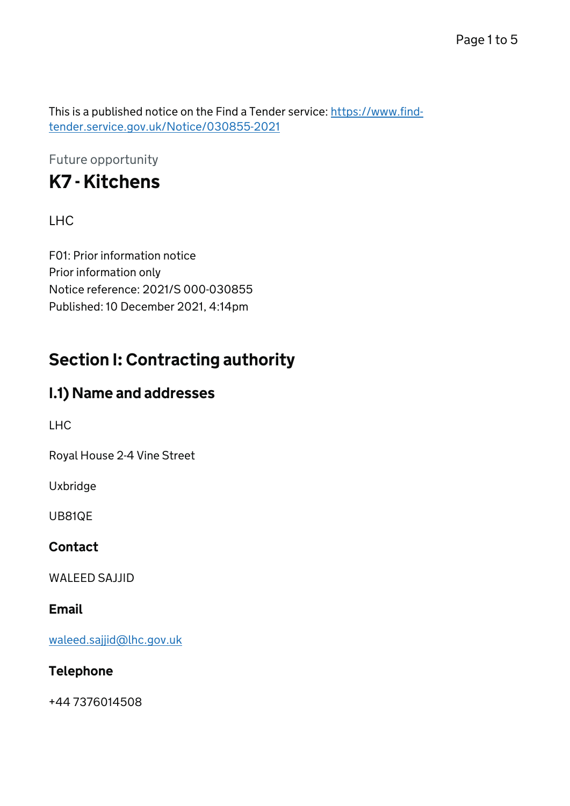This is a published notice on the Find a Tender service: [https://www.find](https://www.find-tender.service.gov.uk/Notice/030855-2021)[tender.service.gov.uk/Notice/030855-2021](https://www.find-tender.service.gov.uk/Notice/030855-2021)

Future opportunity

# K7 - Kitchens

#### LHC

F01: Prior information notice Prior information only Notice reference: 2021/S 000-030855 Published: 10 December 2021, 4:14pm

# Section I: Contracting authority

### I.1) Name and addresses

LHC

Royal House 2-4 Vine Street

Uxbridge

UB81QE

#### **Contact**

WALEED SAJJID

#### Email

[waleed.sajjid@lhc.gov.uk](mailto:waleed.sajjid@lhc.gov.uk)

#### Telephone

+44 7376014508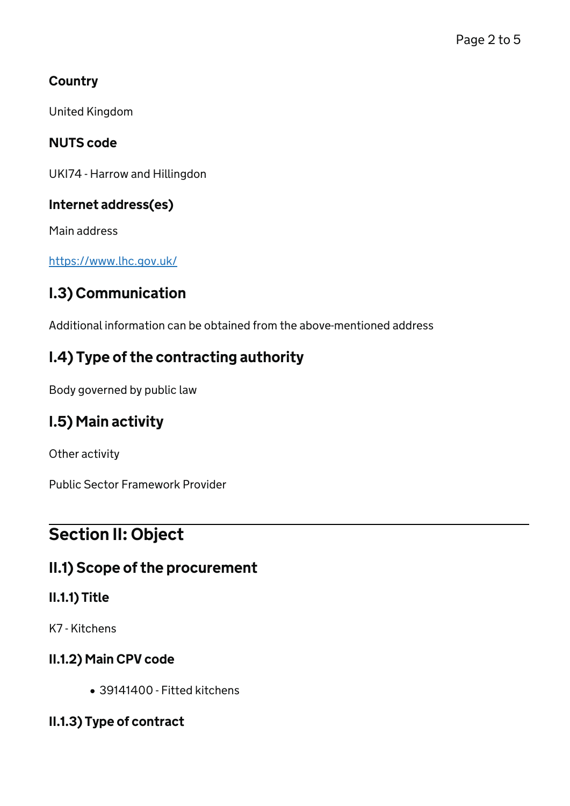### **Country**

United Kingdom

### NUTS code

UKI74 - Harrow and Hillingdon

#### Internet address(es)

Main address

<https://www.lhc.gov.uk/>

# I.3) Communication

Additional information can be obtained from the above-mentioned address

## I.4) Type of the contracting authority

Body governed by public law

# I.5) Main activity

Other activity

Public Sector Framework Provider

# Section II: Object

### II.1) Scope of the procurement

### II.1.1) Title

K7 - Kitchens

### II.1.2) Main CPV code

39141400 - Fitted kitchens

### II.1.3) Type of contract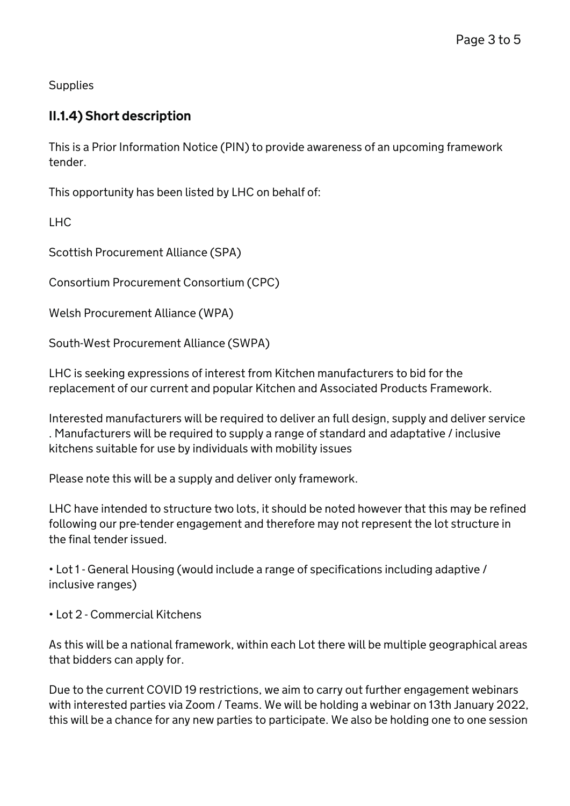**Supplies** 

#### II.1.4) Short description

This is a Prior Information Notice (PIN) to provide awareness of an upcoming framework tender.

This opportunity has been listed by LHC on behalf of:

LHC

Scottish Procurement Alliance (SPA)

Consortium Procurement Consortium (CPC)

Welsh Procurement Alliance (WPA)

South-West Procurement Alliance (SWPA)

LHC is seeking expressions of interest from Kitchen manufacturers to bid for the replacement of our current and popular Kitchen and Associated Products Framework.

Interested manufacturers will be required to deliver an full design, supply and deliver service . Manufacturers will be required to supply a range of standard and adaptative / inclusive kitchens suitable for use by individuals with mobility issues

Please note this will be a supply and deliver only framework.

LHC have intended to structure two lots, it should be noted however that this may be refined following our pre-tender engagement and therefore may not represent the lot structure in the final tender issued.

• Lot 1 - General Housing (would include a range of specifications including adaptive / inclusive ranges)

• Lot 2 - Commercial Kitchens

As this will be a national framework, within each Lot there will be multiple geographical areas that bidders can apply for.

Due to the current COVID 19 restrictions, we aim to carry out further engagement webinars with interested parties via Zoom / Teams. We will be holding a webinar on 13th January 2022, this will be a chance for any new parties to participate. We also be holding one to one session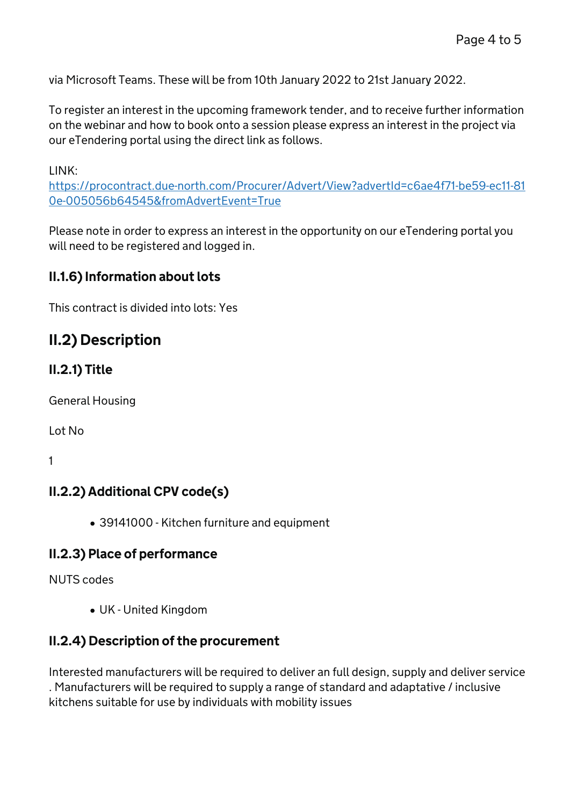via Microsoft Teams. These will be from 10th January 2022 to 21st January 2022.

To register an interest in the upcoming framework tender, and to receive further information on the webinar and how to book onto a session please express an interest in the project via our eTendering portal using the direct link as follows.

LINK:

[https://procontract.due-north.com/Procurer/Advert/View?advertId=c6ae4f71-be59-ec11-81](https://procontract.due-north.com/Procurer/Advert/View?advertId=c6ae4f71-be59-ec11-810e-005056b64545&fromAdvertEvent=True) [0e-005056b64545&fromAdvertEvent=True](https://procontract.due-north.com/Procurer/Advert/View?advertId=c6ae4f71-be59-ec11-810e-005056b64545&fromAdvertEvent=True)

Please note in order to express an interest in the opportunity on our eTendering portal you will need to be registered and logged in.

#### II.1.6) Information about lots

This contract is divided into lots: Yes

### II.2) Description

#### II.2.1) Title

General Housing

Lot No

1

#### II.2.2) Additional CPV code(s)

39141000 - Kitchen furniture and equipment

#### II.2.3) Place of performance

NUTS codes

UK - United Kingdom

#### II.2.4) Description of the procurement

Interested manufacturers will be required to deliver an full design, supply and deliver service . Manufacturers will be required to supply a range of standard and adaptative / inclusive kitchens suitable for use by individuals with mobility issues